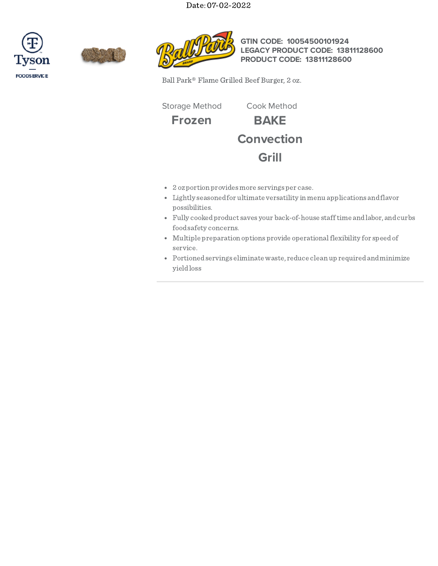Date: 07-02-2022







**GTIN CODE: 10054500101924 LEGACY PRODUCT CODE: 13811128600 PRODUCT CODE: 13811128600**

Ball Park® Flame Grilled Beef Burger, 2 oz.

Storage Method Cook Method

**Frozen BAKE Convection Grill**

- 2 ozportion providesmore servings per case.
- Lightly seasonedfor ultimate versatility in menu applications andflavor possibilities.
- Fully cookedproduct saves your back-of-house stafftime andlabor, andcurbs foodsafety concerns.
- Multiple preparation options provide operationalflexibility for speedof service.
- Portionedservings eliminate waste, reduce clean up requiredandminimize yieldloss